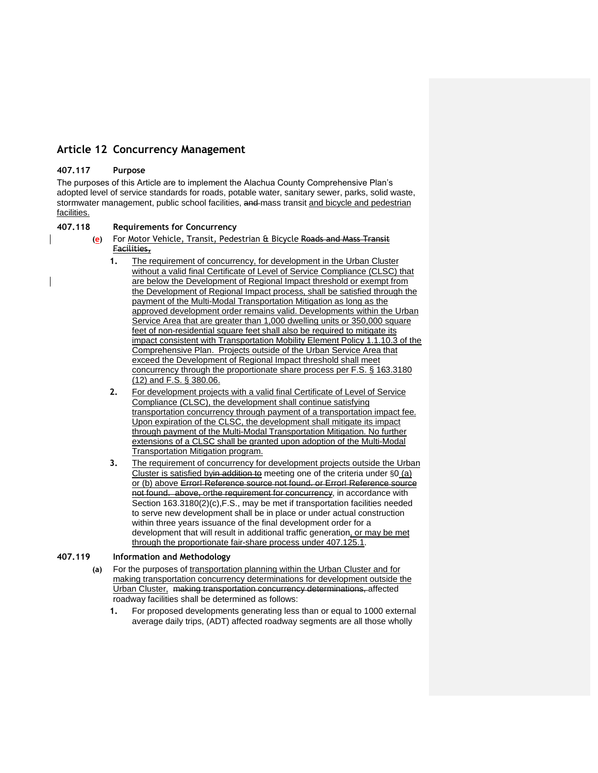# **Article 12 Concurrency Management**

## <span id="page-0-0"></span>**407.117 Purpose**

The purposes of this Article are to implement the Alachua County Comprehensive Plan's adopted level of service standards for roads, potable water, sanitary sewer, parks, solid waste, stormwater management, public school facilities, and mass transit and bicycle and pedestrian facilities.

## **407.118 Requirements for Concurrency**

- **(e)** For Motor Vehicle, Transit, Pedestrian & Bicycle Roads and Mass Transit Facilities,
	- **1.** The requirement of concurrency, for development in the Urban Cluster without a valid final Certificate of Level of Service Compliance (CLSC) that are below the Development of Regional Impact threshold or exempt from the Development of Regional Impact process, shall be satisfied through the payment of the Multi-Modal Transportation Mitigation as long as the approved development order remains valid. Developments within the Urban Service Area that are greater than 1,000 dwelling units or 350,000 square feet of non-residential square feet shall also be required to mitigate its impact consistent with Transportation Mobility Element Policy 1.1.10.3 of the Comprehensive Plan. Projects outside of the Urban Service Area that exceed the Development of Regional Impact threshold shall meet concurrency through the proportionate share process per F.S. § 163.3180 (12) and F.S. § 380.06.
	- **2.** For development projects with a valid final Certificate of Level of Service Compliance (CLSC), the development shall continue satisfying transportation concurrency through payment of a transportation impact fee. Upon expiration of the CLSC, the development shall mitigate its impact through payment of the Multi-Modal Transportation Mitigation. No further extensions of a CLSC shall be granted upon adoption of the Multi-Modal Transportation Mitigation program.
	- **3.** The requirement of concurrency for development projects outside the Urban Cluster is satisfied byin addition to meeting one of the criteria under §[0](#page-0-0) (a) or (b) above Error! Reference source not found. or Error! Reference source not found. above, orthe requirement for concurrency, in accordance with Section 163.3180(2)(c),F.S., may be met if transportation facilities needed to serve new development shall be in place or under actual construction within three years issuance of the final development order for a development that will result in additional traffic generation, or may be met through the proportionate fair-share process under 407.125.1.

#### **407.119 Information and Methodology**

- **(a)** For the purposes of transportation planning within the Urban Cluster and for making transportation concurrency determinations for development outside the Urban Cluster, making transportation concurrency determinations, affected roadway facilities shall be determined as follows:
	- **1.** For proposed developments generating less than or equal to 1000 external average daily trips, (ADT) affected roadway segments are all those wholly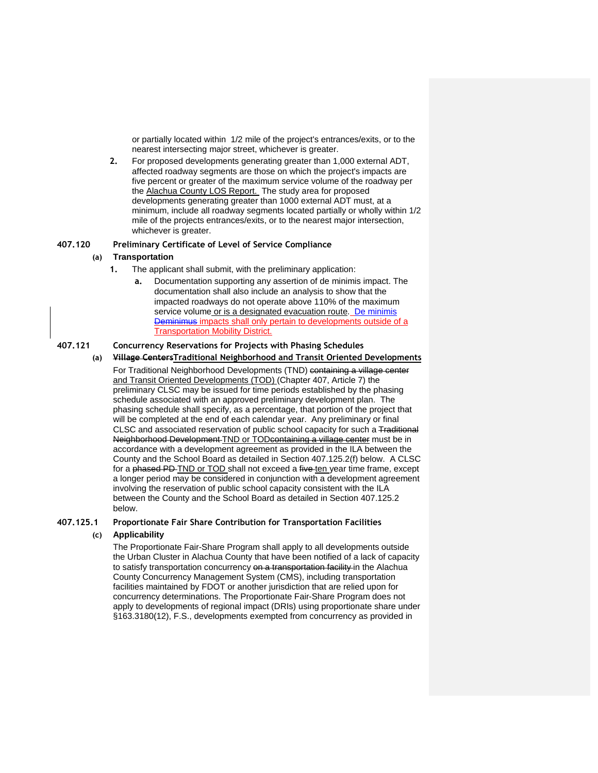or partially located within 1/2 mile of the project's entrances/exits, or to the nearest intersecting major street, whichever is greater.

**2.** For proposed developments generating greater than 1,000 external ADT, affected roadway segments are those on which the project's impacts are five percent or greater of the maximum service volume of the roadway per the Alachua County LOS Report. The study area for proposed developments generating greater than 1000 external ADT must, at a minimum, include all roadway segments located partially or wholly within 1/2 mile of the projects entrances/exits, or to the nearest major intersection, whichever is greater.

## **407.120 Preliminary Certificate of Level of Service Compliance**

## **(a) Transportation**

- **1.** The applicant shall submit, with the preliminary application:
	- **a.** Documentation supporting any assertion of de minimis impact. The documentation shall also include an analysis to show that the impacted roadways do not operate above 110% of the maximum service volume or is a designated evacuation route. De minimis Deminimus impacts shall only pertain to developments outside of a **Transportation Mobility District.**

## **407.121 Concurrency Reservations for Projects with Phasing Schedules**

#### **(a) Village CentersTraditional Neighborhood and Transit Oriented Developments**

For Traditional Neighborhood Developments (TND) containing a village center and Transit Oriented Developments (TOD) (Chapter 407, Article 7) the preliminary CLSC may be issued for time periods established by the phasing schedule associated with an approved preliminary development plan. The phasing schedule shall specify, as a percentage, that portion of the project that will be completed at the end of each calendar year. Any preliminary or final CLSC and associated reservation of public school capacity for such a Traditional Neighborhood Development TND or TODcontaining a village center must be in accordance with a development agreement as provided in the ILA between the County and the School Board as detailed in Section 407.125.2(f) below. A CLSC for a phased PD-TND or TOD shall not exceed a five ten year time frame, except a longer period may be considered in conjunction with a development agreement involving the reservation of public school capacity consistent with the ILA between the County and the School Board as detailed in Section 407.125.2 below.

#### **407.125.1 Proportionate Fair Share Contribution for Transportation Facilities**

#### **(c) Applicability**

The Proportionate Fair-Share Program shall apply to all developments outside the Urban Cluster in Alachua County that have been notified of a lack of capacity to satisfy transportation concurrency on a transportation facility in the Alachua County Concurrency Management System (CMS), including transportation facilities maintained by FDOT or another jurisdiction that are relied upon for concurrency determinations. The Proportionate Fair-Share Program does not apply to developments of regional impact (DRIs) using proportionate share under §163.3180(12), F.S., developments exempted from concurrency as provided in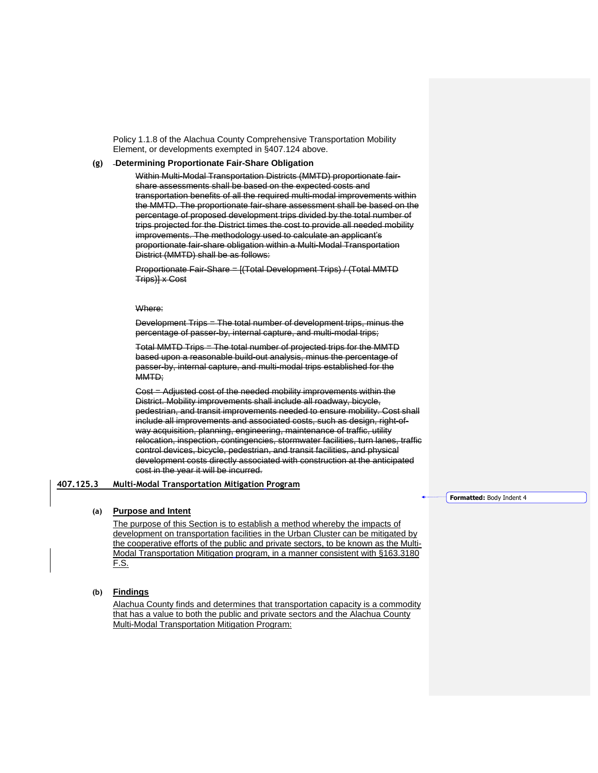Policy 1.1.8 of the Alachua County Comprehensive Transportation Mobility Element, or developments exempted in §407.124 above.

## **(g) Determining Proportionate Fair-Share Obligation**

Within Multi-Modal Transportation Districts (MMTD) proportionate fairshare assessments shall be based on the expected costs and transportation benefits of all the required multi-modal improvements within the MMTD. The proportionate fair-share assessment shall be based on the percentage of proposed development trips divided by the total number of trips projected for the District times the cost to provide all needed mobility improvements. The methodology used to calculate an applicant's proportionate fair-share obligation within a Multi-Modal Transportation District (MMTD) shall be as follows:

Proportionate Fair-Share = [(Total Development Trips) / (Total MMTD Trips)] x Cost

#### Where:

Development Trips = The total number of development trips, minus the percentage of passer-by, internal capture, and multi-modal trips;

Total MMTD Trips = The total number of projected trips for the MMTD based upon a reasonable build-out analysis, minus the percentage of passer-by, internal capture, and multi-modal trips established for the MMTD:

Cost = Adjusted cost of the needed mobility improvements within the District. Mobility improvements shall include all roadway, bicycle, pedestrian, and transit improvements needed to ensure mobility. Cost shall include all improvements and associated costs, such as design, right-ofway acquisition, planning, engineering, maintenance of traffic, utility relocation, inspection, contingencies, stormwater facilities, turn lanes, traffic control devices, bicycle, pedestrian, and transit facilities, and physical development costs directly associated with construction at the anticipated cost in the year it will be incurred.

#### **407.125.3 Multi-Modal Transportation Mitigation Program**

#### **(a) Purpose and Intent**

The purpose of this Section is to establish a method whereby the impacts of development on transportation facilities in the Urban Cluster can be mitigated by the cooperative efforts of the public and private sectors, to be known as the Multi-Modal Transportation Mitigation program, in a manner consistent with §163.3180 F.S.

#### **(b) Findings**

Alachua County finds and determines that transportation capacity is a commodity that has a value to both the public and private sectors and the Alachua County Multi-Modal Transportation Mitigation Program:

**Formatted:** Body Indent 4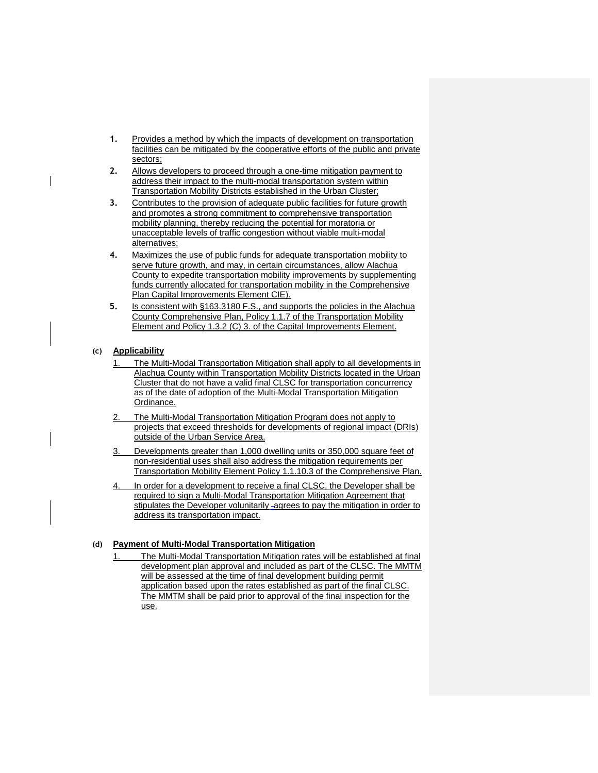- **1.** Provides a method by which the impacts of development on transportation facilities can be mitigated by the cooperative efforts of the public and private sectors;
- **2.** Allows developers to proceed through a one-time mitigation payment to address their impact to the multi-modal transportation system within Transportation Mobility Districts established in the Urban Cluster;
- **3.** Contributes to the provision of adequate public facilities for future growth and promotes a strong commitment to comprehensive transportation mobility planning, thereby reducing the potential for moratoria or unacceptable levels of traffic congestion without viable multi-modal alternatives;
- **4.** Maximizes the use of public funds for adequate transportation mobility to serve future growth, and may, in certain circumstances, allow Alachua County to expedite transportation mobility improvements by supplementing funds currently allocated for transportation mobility in the Comprehensive Plan Capital Improvements Element CIE).
- **5.** Is consistent with §163.3180 F.S., and supports the policies in the Alachua County Comprehensive Plan, Policy 1.1.7 of the Transportation Mobility Element and Policy 1.3.2 (C) 3. of the Capital Improvements Element.

## **(c) Applicability**

- 1. The Multi-Modal Transportation Mitigation shall apply to all developments in Alachua County within Transportation Mobility Districts located in the Urban Cluster that do not have a valid final CLSC for transportation concurrency as of the date of adoption of the Multi-Modal Transportation Mitigation Ordinance.
- 2. The Multi-Modal Transportation Mitigation Program does not apply to projects that exceed thresholds for developments of regional impact (DRIs) outside of the Urban Service Area.
- 3. Developments greater than 1,000 dwelling units or 350,000 square feet of non-residential uses shall also address the mitigation requirements per Transportation Mobility Element Policy 1.1.10.3 of the Comprehensive Plan.
- 4. In order for a development to receive a final CLSC, the Developer shall be required to sign a Multi-Modal Transportation Mitigation Agreement that stipulates the Developer volunitarily -agrees to pay the mitigation in order to address its transportation impact.

## **(d) Payment of Multi-Modal Transportation Mitigation**

1. The Multi-Modal Transportation Mitigation rates will be established at final development plan approval and included as part of the CLSC. The MMTM will be assessed at the time of final development building permit application based upon the rates established as part of the final CLSC. The MMTM shall be paid prior to approval of the final inspection for the use.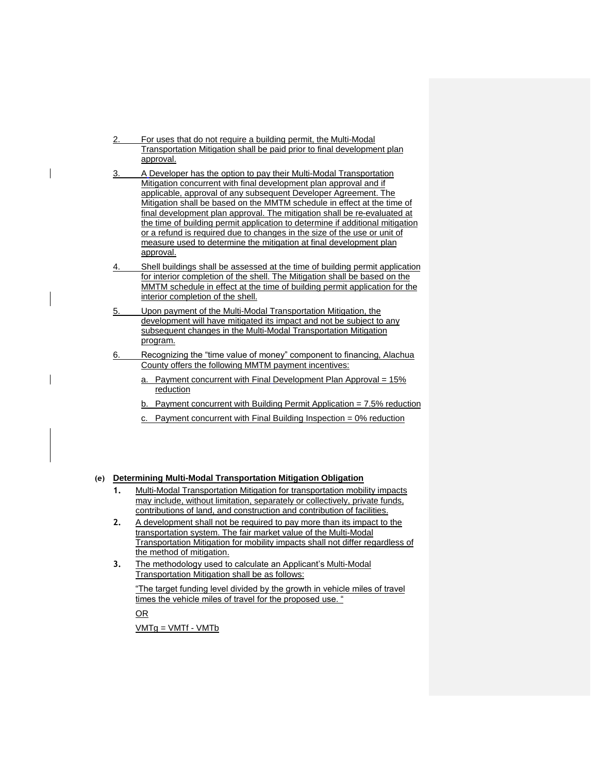- 2. For uses that do not require a building permit, the Multi-Modal Transportation Mitigation shall be paid prior to final development plan approval.
- 3. A Developer has the option to pay their Multi-Modal Transportation Mitigation concurrent with final development plan approval and if applicable, approval of any subsequent Developer Agreement. The Mitigation shall be based on the MMTM schedule in effect at the time of final development plan approval. The mitigation shall be re-evaluated at the time of building permit application to determine if additional mitigation or a refund is required due to changes in the size of the use or unit of measure used to determine the mitigation at final development plan approval.
- 4. Shell buildings shall be assessed at the time of building permit application for interior completion of the shell. The Mitigation shall be based on the MMTM schedule in effect at the time of building permit application for the interior completion of the shell.
- 5. Upon payment of the Multi-Modal Transportation Mitigation, the development will have mitigated its impact and not be subject to any subsequent changes in the Multi-Modal Transportation Mitigation program.
- 6. Recognizing the "time value of money" component to financing, Alachua County offers the following MMTM payment incentives:
	- a. Payment concurrent with Final Development Plan Approval = 15% reduction
	- b. Payment concurrent with Building Permit Application = 7.5% reduction
	- c. Payment concurrent with Final Building Inspection = 0% reduction

#### **(e) Determining Multi-Modal Transportation Mitigation Obligation**

- **1.** Multi-Modal Transportation Mitigation for transportation mobility impacts may include, without limitation, separately or collectively, private funds, contributions of land, and construction and contribution of facilities.
- **2.** A development shall not be required to pay more than its impact to the transportation system. The fair market value of the Multi-Modal Transportation Mitigation for mobility impacts shall not differ regardless of the method of mitigation.
- **3.** The methodology used to calculate an Applicant's Multi-Modal Transportation Mitigation shall be as follows:

"The target funding level divided by the growth in vehicle miles of travel times the vehicle miles of travel for the proposed use. "

OR

 $VMTg = VMTf - VMTb$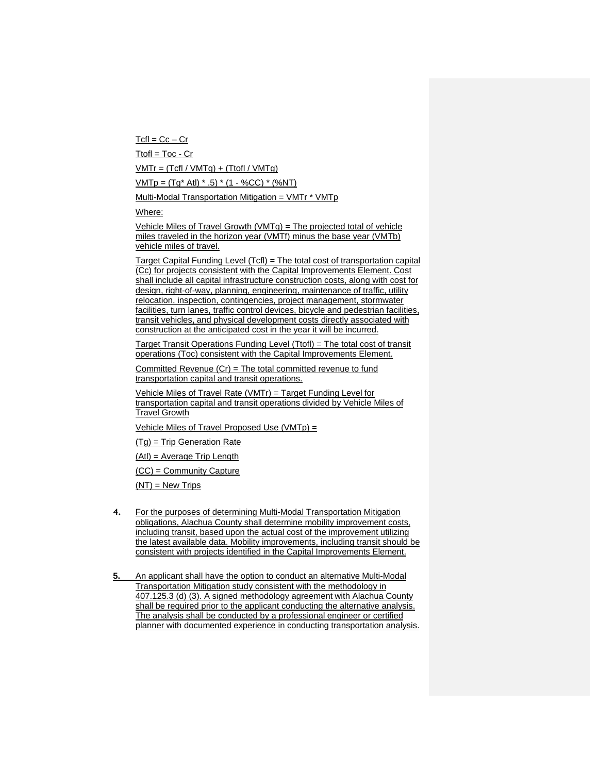$Tcfl = Cc - Cr$ 

 $Ttof = Toc - Cr$ 

 $VMTr = (TcfI / VMTq) + (Ttofl / VMTq)$ 

VMTp = (Tg\* Atl) \* .5) \* (1 - %CC) \* (%NT)

Multi-Modal Transportation Mitigation = VMTr \* VMTp

Where:

Vehicle Miles of Travel Growth (VMTg) = The projected total of vehicle miles traveled in the horizon year (VMTf) minus the base year (VMTb) vehicle miles of travel.

Target Capital Funding Level (Tcfl) = The total cost of transportation capital (Cc) for projects consistent with the Capital Improvements Element. Cost shall include all capital infrastructure construction costs, along with cost for design, right-of-way, planning, engineering, maintenance of traffic, utility relocation, inspection, contingencies, project management, stormwater facilities, turn lanes, traffic control devices, bicycle and pedestrian facilities, transit vehicles, and physical development costs directly associated with construction at the anticipated cost in the year it will be incurred.

Target Transit Operations Funding Level (Ttofl) = The total cost of transit operations (Toc) consistent with the Capital Improvements Element.

Committed Revenue (Cr) = The total committed revenue to fund transportation capital and transit operations.

Vehicle Miles of Travel Rate (VMTr) = Target Funding Level for transportation capital and transit operations divided by Vehicle Miles of Travel Growth

Vehicle Miles of Travel Proposed Use (VMTp) =

(Tg) = Trip Generation Rate

(Atl) = Average Trip Length

(CC) = Community Capture

 $(NT) = New Trips$ 

- **4.** For the purposes of determining Multi-Modal Transportation Mitigation obligations, Alachua County shall determine mobility improvement costs, including transit, based upon the actual cost of the improvement utilizing the latest available data. Mobility improvements, including transit should be consistent with projects identified in the Capital Improvements Element.
- **5.** An applicant shall have the option to conduct an alternative Multi-Modal Transportation Mitigation study consistent with the methodology in 407.125.3 (d) (3). A signed methodology agreement with Alachua County shall be required prior to the applicant conducting the alternative analysis. The analysis shall be conducted by a professional engineer or certified planner with documented experience in conducting transportation analysis.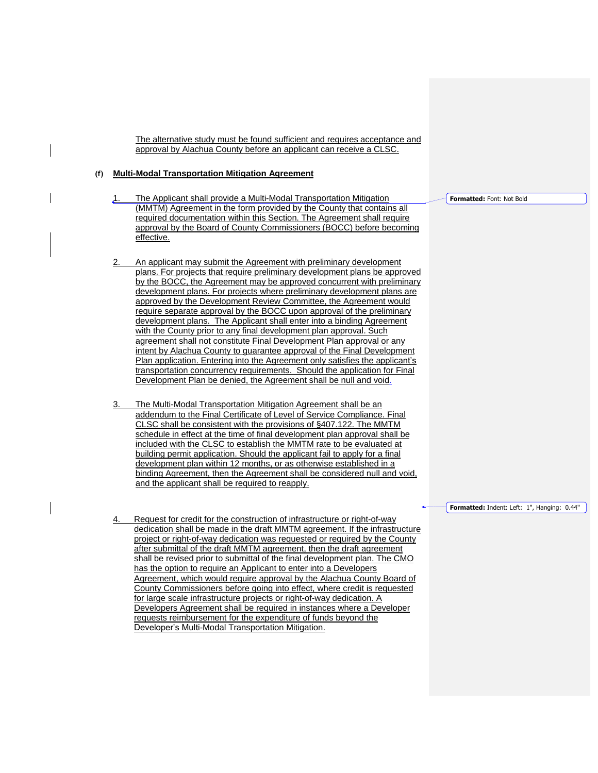The alternative study must be found sufficient and requires acceptance and approval by Alachua County before an applicant can receive a CLSC.

#### **(f) Multi-Modal Transportation Mitigation Agreement**

- 1. The Applicant shall provide a Multi-Modal Transportation Mitigation (MMTM) Agreement in the form provided by the County that contains all required documentation within this Section. The Agreement shall require approval by the Board of County Commissioners (BOCC) before becoming effective.
- An applicant may submit the Agreement with preliminary development plans. For projects that require preliminary development plans be approved by the BOCC, the Agreement may be approved concurrent with preliminary development plans. For projects where preliminary development plans are approved by the Development Review Committee, the Agreement would require separate approval by the BOCC upon approval of the preliminary development plans. The Applicant shall enter into a binding Agreement with the County prior to any final development plan approval. Such agreement shall not constitute Final Development Plan approval or any intent by Alachua County to guarantee approval of the Final Development Plan application. Entering into the Agreement only satisfies the applicant's transportation concurrency requirements. Should the application for Final Development Plan be denied, the Agreement shall be null and void.
- 3. The Multi-Modal Transportation Mitigation Agreement shall be an addendum to the Final Certificate of Level of Service Compliance. Final CLSC shall be consistent with the provisions of §407.122. The MMTM schedule in effect at the time of final development plan approval shall be included with the CLSC to establish the MMTM rate to be evaluated at building permit application. Should the applicant fail to apply for a final development plan within 12 months, or as otherwise established in a binding Agreement, then the Agreement shall be considered null and void, and the applicant shall be required to reapply.

4. Request for credit for the construction of infrastructure or right-of-way dedication shall be made in the draft MMTM agreement. If the infrastructure project or right-of-way dedication was requested or required by the County after submittal of the draft MMTM agreement, then the draft agreement shall be revised prior to submittal of the final development plan. The CMO has the option to require an Applicant to enter into a Developers Agreement, which would require approval by the Alachua County Board of County Commissioners before going into effect, where credit is requested for large scale infrastructure projects or right-of-way dedication. A Developers Agreement shall be required in instances where a Developer requests reimbursement for the expenditure of funds beyond the Developer's Multi-Modal Transportation Mitigation.

**Formatted:** Font: Not Bold

**Formatted:** Indent: Left: 1", Hanging: 0.44"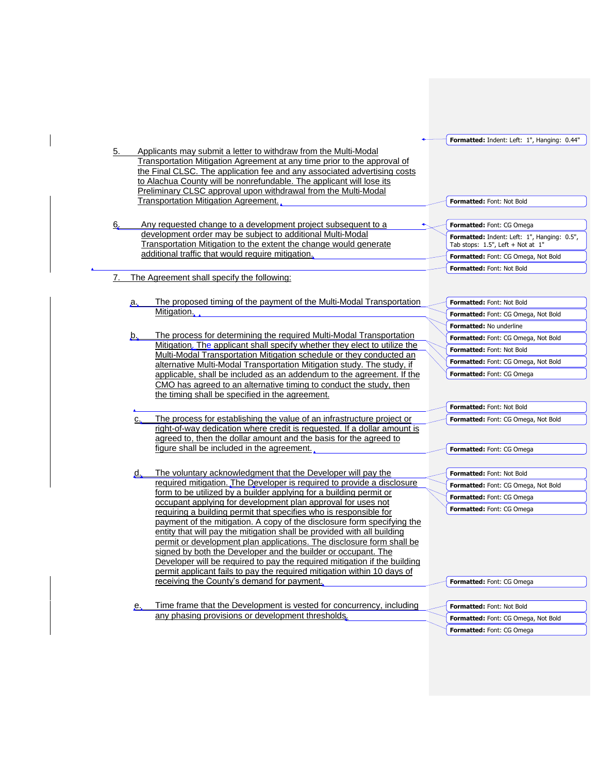**Formatted:** Indent: Left: 1", Hanging: 0.44"

**Formatted:** Font: Not Bold

**Formatted:** Font: CG Omega

- 5. Applicants may submit a letter to withdraw from the Multi-Modal Transportation Mitigation Agreement at any time prior to the approval of the Final CLSC. The application fee and any associated advertising costs to Alachua County will be nonrefundable. The applicant will lose its Preliminary CLSC approval upon withdrawal from the Multi-Modal Transportation Mitigation Agreement.
- Any requested change to a development project subsequent to a development order may be subject to additional Multi-Modal Transportation Mitigation to the extent the change would generate additional traffic that would require mitigation.
- The Agreement shall specify the following:
	- The proposed timing of the payment of the Multi-Modal Transportation Mitigation.
	- The process for determining the required Multi-Modal Transportation Mitigation. The applicant shall specify whether they elect to utilize the Multi-Modal Transportation Mitigation schedule or they conducted an alternative Multi-Modal Transportation Mitigation study. The study, if applicable, shall be included as an addendum to the agreement. If the CMO has agreed to an alternative timing to conduct the study, then the timing shall be specified in the agreement.
		- The process for establishing the value of an infrastructure project or right-of-way dedication where credit is requested. If a dollar amount is agreed to, then the dollar amount and the basis for the agreed to figure shall be included in the agreement.
		- The voluntary acknowledgment that the Developer will pay the required mitigation. The Developer is required to provide a disclosure form to be utilized by a builder applying for a building permit or occupant applying for development plan approval for uses not requiring a building permit that specifies who is responsible for payment of the mitigation. A copy of the disclosure form specifying the entity that will pay the mitigation shall be provided with all building permit or development plan applications. The disclosure form shall be signed by both the Developer and the builder or occupant. The Developer will be required to pay the required mitigation if the building permit applicant fails to pay the required mitigation within 10 days of receiving the County's demand for payment.

Time frame that the Development is vested for concurrency, including any phasing provisions or development thresholds.

**Formatted:** Indent: Left: 1", Hanging: 0.5", Tab stops:  $1.5$ ", Left + Not at  $1$ " **Formatted:** Font: CG Omega, Not Bold **Formatted:** Font: Not Bold

**Formatted:** Font: Not Bold **Formatted:** Font: CG Omega, Not Bold **Formatted:** No underline **Formatted:** Font: CG Omega, Not Bold **Formatted:** Font: Not Bold **Formatted:** Font: CG Omega, Not Bold **Formatted:** Font: CG Omega

**Formatted:** Font: Not Bold **Formatted:** Font: CG Omega, Not Bold

**Formatted:** Font: CG Omega

**Formatted:** Font: Not Bold **Formatted:** Font: CG Omega, Not Bold **Formatted:** Font: CG Omega **Formatted:** Font: CG Omega

**Formatted:** Font: CG Omega

**Formatted:** Font: Not Bold **Formatted:** Font: CG Omega, Not Bold **Formatted:** Font: CG Omega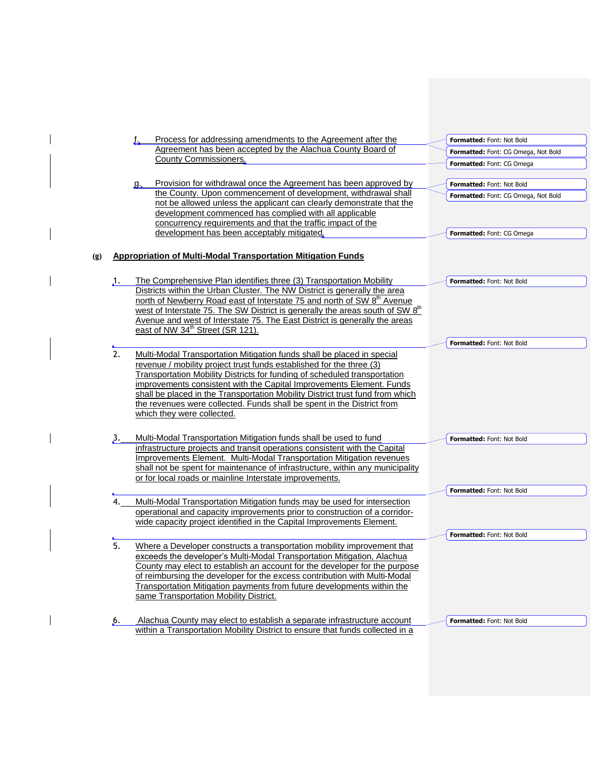|     | <u>Process for addressing amendments to the Agreement after the</u>                                                                                              | Formatted: Font: Not Bold           |
|-----|------------------------------------------------------------------------------------------------------------------------------------------------------------------|-------------------------------------|
|     | Agreement has been accepted by the Alachua County Board of                                                                                                       | Formatted: Font: CG Omega, Not Bold |
|     | County Commissioners.                                                                                                                                            | Formatted: Font: CG Omega           |
|     |                                                                                                                                                                  |                                     |
|     | Provision for withdrawal once the Agreement has been approved by<br>$g_{\star}$                                                                                  | Formatted: Font: Not Bold           |
|     | the County. Upon commencement of development, withdrawal shall                                                                                                   | Formatted: Font: CG Omega, Not Bold |
|     | not be allowed unless the applicant can clearly demonstrate that the                                                                                             |                                     |
|     | development commenced has complied with all applicable                                                                                                           |                                     |
|     | concurrency requirements and that the traffic impact of the                                                                                                      |                                     |
|     | development has been acceptably mitigated.                                                                                                                       | Formatted: Font: CG Omega           |
|     | Appropriation of Multi-Modal Transportation Mitigation Funds                                                                                                     |                                     |
|     |                                                                                                                                                                  |                                     |
| .1. | The Comprehensive Plan identifies three (3) Transportation Mobility                                                                                              | Formatted: Font: Not Bold           |
|     | Districts within the Urban Cluster. The NW District is generally the area<br>north of Newberry Road east of Interstate 75 and north of SW 8 <sup>th</sup> Avenue |                                     |
|     | west of Interstate 75. The SW District is generally the areas south of SW 8th                                                                                    |                                     |
|     | Avenue and west of Interstate 75. The East District is generally the areas                                                                                       |                                     |
|     | east of NW 34 <sup>th</sup> Street (SR 121).                                                                                                                     |                                     |
|     |                                                                                                                                                                  |                                     |
|     |                                                                                                                                                                  | Formatted: Font: Not Bold           |
| 2.  | Multi-Modal Transportation Mitigation funds shall be placed in special<br>revenue / mobility project trust funds established for the three (3)                   |                                     |
|     | Transportation Mobility Districts for funding of scheduled transportation                                                                                        |                                     |
|     | improvements consistent with the Capital Improvements Element. Funds                                                                                             |                                     |
|     | shall be placed in the Transportation Mobility District trust fund from which                                                                                    |                                     |
|     | the revenues were collected. Funds shall be spent in the District from                                                                                           |                                     |
|     | which they were collected.                                                                                                                                       |                                     |
|     |                                                                                                                                                                  |                                     |
| 3.  | Multi-Modal Transportation Mitigation funds shall be used to fund                                                                                                | <b>Formatted: Font: Not Bold</b>    |
|     | infrastructure projects and transit operations consistent with the Capital                                                                                       |                                     |
|     | <b>Improvements Element. Multi-Modal Transportation Mitigation revenues</b>                                                                                      |                                     |
|     | shall not be spent for maintenance of infrastructure, within any municipality                                                                                    |                                     |
|     | or for local roads or mainline Interstate improvements.                                                                                                          |                                     |
|     |                                                                                                                                                                  | Formatted: Font: Not Bold           |
| 4.  | Multi-Modal Transportation Mitigation funds may be used for intersection                                                                                         |                                     |
|     | operational and capacity improvements prior to construction of a corridor-                                                                                       |                                     |
|     | wide capacity project identified in the Capital Improvements Element.                                                                                            |                                     |
|     |                                                                                                                                                                  | <b>Formatted: Font: Not Bold</b>    |
| 5.  | Where a Developer constructs a transportation mobility improvement that                                                                                          |                                     |
|     | exceeds the developer's Multi-Modal Transportation Mitigation. Alachua                                                                                           |                                     |
|     | County may elect to establish an account for the developer for the purpose                                                                                       |                                     |
|     | of reimbursing the developer for the excess contribution with Multi-Modal                                                                                        |                                     |
|     |                                                                                                                                                                  |                                     |
|     | Transportation Mitigation payments from future developments within the                                                                                           |                                     |
|     | same Transportation Mobility District.                                                                                                                           |                                     |
| 6.  | Alachua County may elect to establish a separate infrastructure account                                                                                          | Formatted: Font: Not Bold           |

 $\overline{\phantom{a}}$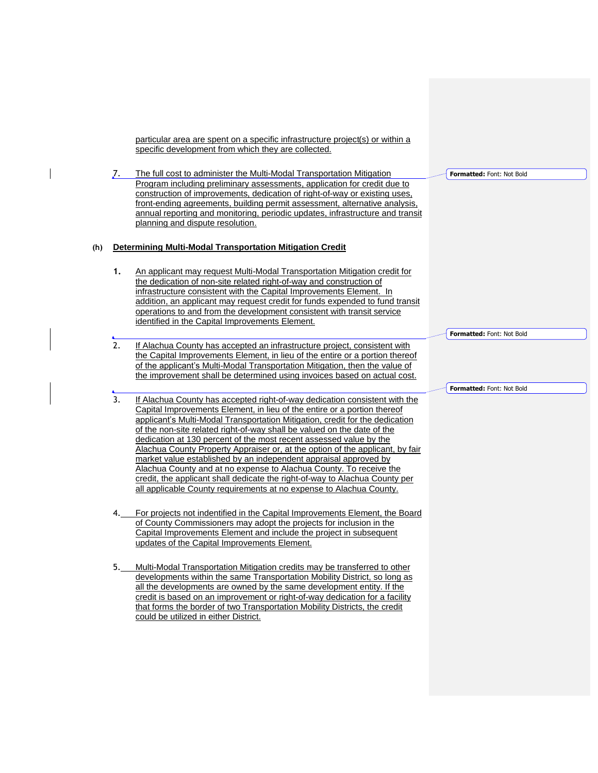particular area are spent on a specific infrastructure project(s) or within a specific development from which they are collected.

7. The full cost to administer the Multi-Modal Transportation Mitigation Program including preliminary assessments, application for credit due to construction of improvements, dedication of right-of-way or existing uses, front-ending agreements, building permit assessment, alternative analysis, annual reporting and monitoring, periodic updates, infrastructure and transit planning and dispute resolution.

## **(h) Determining Multi-Modal Transportation Mitigation Credit**

- **1.** An applicant may request Multi-Modal Transportation Mitigation credit for the dedication of non-site related right-of-way and construction of infrastructure consistent with the Capital Improvements Element. In addition, an applicant may request credit for funds expended to fund transit operations to and from the development consistent with transit service identified in the Capital Improvements Element.
- 2. If Alachua County has accepted an infrastructure project, consistent with the Capital Improvements Element, in lieu of the entire or a portion thereof of the applicant's Multi-Modal Transportation Mitigation, then the value of the improvement shall be determined using invoices based on actual cost.
- 3. If Alachua County has accepted right-of-way dedication consistent with the Capital Improvements Element, in lieu of the entire or a portion thereof applicant's Multi-Modal Transportation Mitigation, credit for the dedication of the non-site related right-of-way shall be valued on the date of the dedication at 130 percent of the most recent assessed value by the Alachua County Property Appraiser or, at the option of the applicant, by fair market value established by an independent appraisal approved by Alachua County and at no expense to Alachua County. To receive the credit, the applicant shall dedicate the right-of-way to Alachua County per all applicable County requirements at no expense to Alachua County.
- 4. For projects not indentified in the Capital Improvements Element, the Board of County Commissioners may adopt the projects for inclusion in the Capital Improvements Element and include the project in subsequent updates of the Capital Improvements Element.
- 5. Multi-Modal Transportation Mitigation credits may be transferred to other developments within the same Transportation Mobility District, so long as all the developments are owned by the same development entity. If the credit is based on an improvement or right-of-way dedication for a facility that forms the border of two Transportation Mobility Districts, the credit could be utilized in either District.

**Formatted:** Font: Not Bold

**Formatted:** Font: Not Bold

**Formatted:** Font: Not Bold